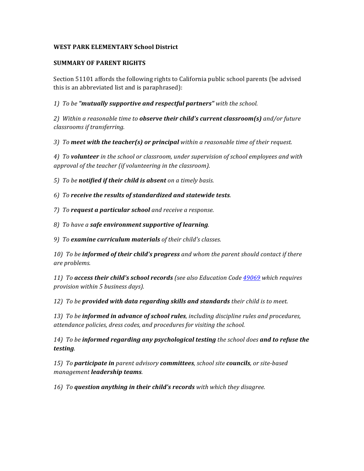# WEST PARK ELEMENTARY School District

## **SUMMARY OF PARENT RIGHTS**

Section 51101 affords the following rights to California public school parents (be advised this is an abbreviated list and is paraphrased):

1) To be "mutually supportive and respectful partners" with the school.

2) Within a reasonable time to **observe their child's current classroom(s)** and/or future *classrooms if transferring.*

3) To meet with the teacher(s) or principal within a reasonable time of their request.

4) To **volunteer** in the school or classroom, under supervision of school employees and with approval of the teacher (if volunteering in the classroom).

*5)* To be notified if their child is absent on a timely basis.

*6) To receive the results of standardized and statewide tests.*

*7*) To **request a particular school** and receive a response.

*8) To have a safe environment supportive of learning.*

9) To **examine curriculum materials** of their child's classes.

*10)* To be **informed of their child's progress** and whom the parent should contact if there *are problems.*

*11) To* **access their child's school records** (see also Education Code  $\frac{49069}{2000}$  which requires *provision within 5 business days).*

12) To be provided with data regarding skills and standards their child is to meet.

13) To be **informed in advance of school rules**, including discipline rules and procedures, attendance policies, dress codes, and procedures for visiting the school.

*14)* To be informed regarding any psychological testing the school does and to refuse the *testing.*

*15) To participate in parent advisory committees, school site councils, or site-based management leadership teams.*

16) To question anything in their child's records with which they disagree.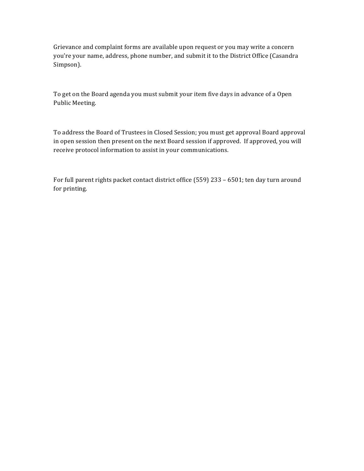Grievance and complaint forms are available upon request or you may write a concern you're your name, address, phone number, and submit it to the District Office (Casandra Simpson).

To get on the Board agenda you must submit your item five days in advance of a Open Public Meeting.

To address the Board of Trustees in Closed Session; you must get approval Board approval in open session then present on the next Board session if approved. If approved, you will receive protocol information to assist in your communications.

For full parent rights packet contact district office (559) 233 - 6501; ten day turn around for printing.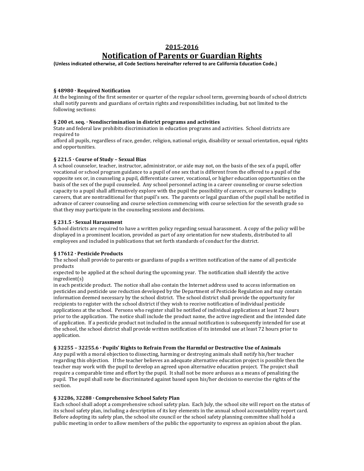# **2015-2016 Notification of Parents or Guardian Rights**

(Unless indicated otherwise, all Code Sections hereinafter referred to are California Education Code.)

## **§ 48980 · Required Notification**

At the beginning of the first semester or quarter of the regular school term, governing boards of school districts shall notify parents and guardians of certain rights and responsibilities including, but not limited to the following sections:

#### **§ 200 et. seq. · Nondiscrimination in district programs and activities**

State and federal law prohibits discrimination in education programs and activities. School districts are required to

afford all pupils, regardless of race, gender, religion, national origin, disability or sexual orientation, equal rights and opportunities.

#### § 221.5  $\cdot$  Course of Study - Sexual Bias

A school counselor, teacher, instructor, administrator, or aide may not, on the basis of the sex of a pupil, offer vocational or school program guidance to a pupil of one sex that is different from the offered to a pupil of the opposite sex or, in counseling a pupil, differentiate career, vocational, or higher education opportunities on the basis of the sex of the pupil counseled. Any school personnel acting in a career counseling or course selection capacity to a pupil shall affirmatively explore with the pupil the possibility of careers, or courses leading to careers, that are nontraditional for that pupil's sex. The parents or legal guardian of the pupil shall be notified in advance of career counseling and course selection commencing with course selection for the seventh grade so that they may participate in the counseling sessions and decisions.

## § 231.5 · Sexual Harassment

School districts are required to have a written policy regarding sexual harassment. A copy of the policy will be displayed in a prominent location, provided as part of any orientation for new students, distributed to all employees and included in publications that set forth standards of conduct for the district.

## § 17612 · Pesticide Products

The school shall provide to parents or guardians of pupils a written notification of the name of all pesticide products

expected to be applied at the school during the upcoming year. The notification shall identify the active ingredient(s)

in each pesticide product. The notice shall also contain the Internet address used to access information on pesticides and pesticide use reduction developed by the Department of Pesticide Regulation and may contain information deemed necessary by the school district. The school district shall provide the opportunity for recipients to register with the school district if they wish to receive notification of individual pesticide applications at the school. Persons who register shall be notified of individual applications at least 72 hours prior to the application. The notice shall include the product name, the active ingredient and the intended date of application. If a pesticide product not included in the annual notification is subsequently intended for use at the school, the school district shall provide written notification of its intended use at least 72 hours prior to application.

#### § 32255 - 32255.6 · Pupils' Rights to Refrain From the Harmful or Destructive Use of Animals

Any pupil with a moral objection to dissecting, harming or destroying animals shall notify his/her teacher regarding this objection. If the teacher believes an adequate alternative education project is possible then the teacher may work with the pupil to develop an agreed upon alternative education project. The project shall require a comparable time and effort by the pupil. It shall not be more arduous as a means of penalizing the pupil. The pupil shall note be discriminated against based upon his/her decision to exercise the rights of the section.

#### § 32286, 32288 · Comprehensive School Safety Plan

Each school shall adopt a comprehensive school safety plan. Each July, the school site will report on the status of its school safety plan, including a description of its key elements in the annual school accountability report card. Before adopting its safety plan, the school site council or the school safety planning committee shall hold a public meeting in order to allow members of the public the opportunity to express an opinion about the plan.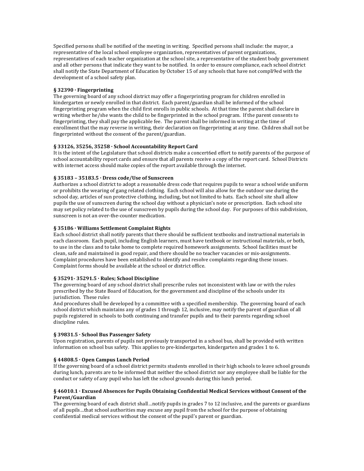Specified persons shall be notified of the meeting in writing. Specified persons shall include: the mayor, a representative of the local school employee organization, representatives of parent organizations, representatives of each teacher organization at the school site, a representative of the student body government and all other persons that indicate they want to be notified. In order to ensure compliance, each school district shall notify the State Department of Education by October 15 of any schools that have not compli9ed with the development of a school safety plan.

## **§ 32390 · Fingerprinting**

The governing board of any school district may offer a fingerprinting program for children enrolled in kindergarten or newly enrolled in that district. Each parent/guardian shall be informed of the school fingerprinting program when the child first enrolls in public schools. At that time the parent shall declare in writing whether he/she wants the child to be fingerprinted in the school program. If the parent consents to fingerprinting, they shall pay the applicable fee. The parent shall be informed in writing at the time of enrollment that the may reverse in writing, their declaration on fingerprinting at any time. Children shall not be fingerprinted without the consent of the parent/guardian.

## § 33126, 35256, 35258 · School Accountability Report Card

It is the intent of the Legislature that school districts make a concert6ed effort to notify parents of the purpose of school accountability report cards and ensure that all parents receive a copy of the report card. School Districts with internet access should make copies of the report available through the internet.

## § 35183 - 35183.5 · Dress code/Use of Sunscreen

Authorizes a school district to adopt a reasonable dress code that requires pupils to wear a school wide uniform or prohibits the wearing of gang related clothing. Each school will also allow for the outdoor use during the school day, articles of sun protective clothing, including, but not limited to hats. Each school site shall allow pupils the use of sunscreen during the school day without a physician's note or prescription. Each school site may set policy related to the use of sunscreen by pupils during the school day. For purposes of this subdivision, sunscreen is not an over-the-counter medication.

## § 35186 · Williams Settlement Complaint Rights

Each school district shall notify parents that there should be sufficient textbooks and instructional materials in each classroom. Each pupil, including English learners, must have textbook or instructional materials, or both, to use in the class and to take home to complete required homework assignments. School facilities must be clean, safe and maintained in good repair, and there should be no teacher vacancies or mis-assignments. Complaint procedures have been established to identify and resolve complaints regarding these issues. Complaint forms should be available at the school or district office.

## **§ 35291- 35291.5 · Rules; School Discipline**

The governing board of any school district shall prescribe rules not inconsistent with law or with the rules prescribed by the State Board of Education, for the government and discipline of the schools under its jurisdiction. These rules

And procedures shall be developed by a committee with a specified membership. The governing board of each school district which maintains any of grades 1 through 12, inclusive, may notify the parent of guardian of all pupils registered in schools to both continuing and transfer pupils and to their parents regarding school discipline rules.

## § 39831.5 · School Bus Passenger Safety

Upon registration, parents of pupils not previously transported in a school bus, shall be provided with written information on school bus safety. This applies to pre-kindergarten, kindergarten and grades 1 to 6.

## **§ 44808.5 · Open Campus Lunch Period**

If the governing board of a school district permits students enrolled in their high schools to leave school grounds during lunch, parents are to be informed that neither the school district nor any employee shall be liable for the conduct or safety of any pupil who has left the school grounds during this lunch period.

## § 46010.1 · Excused Absences for Pupils Obtaining Confidential Medical Services without Consent of the **Parent/Guardian**

The governing board of each district shall…notify pupils in grades 7 to 12 inclusive, and the parents or guardians of all pupils…that school authorities may excuse any pupil from the school for the purpose of obtaining confidential medical services without the consent of the pupil's parent or guardian.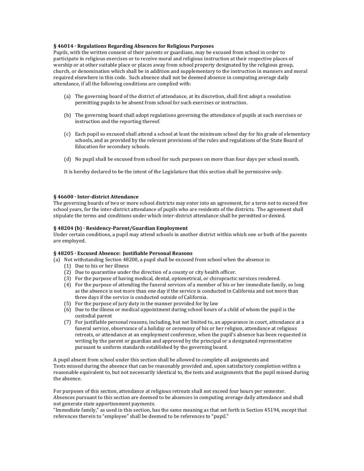#### § 46014 · Regulations Regarding Absences for Religious Purposes

Pupils, with the written consent of their parents or guardians, may be excused from school in order to participate in religious exercises or to receive moral and religious instruction at their respective places of worship or at other suitable place or places away from school property designated by the religious group, church, or denomination which shall be in addition and supplementary to the instruction in manners and moral required elsewhere in this code. Such absence shall not be deemed absence in computing average daily attendance, if all the following conditions are complied with:

- (a) The governing board of the district of attendance, at its discretion, shall first adopt a resolution permitting pupils to be absent from school for such exercises or instruction.
- (b) The governing board shall adopt regulations governing the attendance of pupils at such exercises or instruction and the reporting thereof.
- (c) Each pupil so excused shall attend a school at least the minimum school day for his grade of elementary schools, and as provided by the relevant provisions of the rules and regulations of the State Board of Education for secondary schools.
- (d) No pupil shall be excused from school for such purposes on more than four days per school month.
- It is hereby declared to be the intent of the Legislature that this section shall be permissive only.

#### § 46600 · Inter-district Attendance

The governing boards of two or more school districts may enter into an agreement, for a term not to exceed five school years, for the inter-district attendance of pupils who are residents of the districts. The agreement shall stipulate the terms and conditions under which inter-district attendance shall be permitted or denied.

## § 48204 (b) · Residency-Parent/Guardian Employment

Under certain conditions, a pupil may attend schools in another district within which one or both of the parents are employed.

## § 48205 · Excused Absence: Justifiable Personal Reasons

- (a) Not withstanding Section 48200, a pupil shall be excused from school when the absence is:
	- (1) Due to his or her illness
	- (2) Due to quarantine under the direction of a county or city health officer.
	- (3) For the purpose of having medical, dental, optometrical, or chiropractic services rendered.
	- (4) For the purpose of attending the funeral services of a member of his or her immediate family, so long as the absence is not more than one day if the service is conducted in California and not more than three days if the service is conducted outside of California.
	- $(5)$  For the purpose of jury duty in the manner provided for by law
	- (6) Due to the illness or medical appointment during school hours of a child of whom the pupil is the custodial parent
	- (7) For justifiable personal reasons, including, but not limited to, an appearance in court, attendance at a funeral service, observance of a holiday or ceremony of his or her religion, attendance at religious retreats, or attendance at an employment conference, when the pupil's absence has been requested in writing by the parent or guardian and approved by the principal or a designated representative pursuant to uniform standards established by the governing board.

A pupil absent from school under this section shall be allowed to complete all assignments and Tests missed during the absence that can be reasonably provided and, upon satisfactory completion within a reasonable equivalent to, but not necessarily identical to, the tests and assignments that the pupil missed during the absence.

For purposes of this section, attendance at religious retreats shall not exceed four hours per semester. Absences pursuant to this section are deemed to be absences in computing average daily attendance and shall not generate state apportionment payments.

"Immediate family," as used in this section, has the same meaning as that set forth in Section 45194, except that references therein to "employee" shall be deemed to be references to "pupil."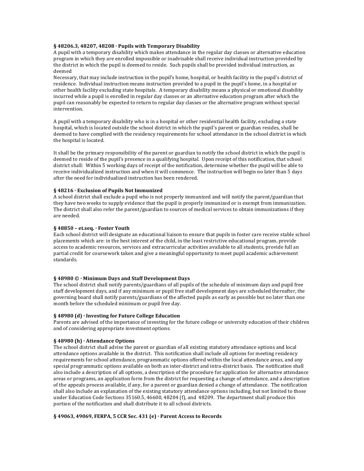#### § 48206.3, 48207, 48208 · Pupils with Temporary Disability

A pupil with a temporary disability which makes attendance in the regular day classes or alternative education program in which they are enrolled impossible or inadvisable shall receive individual instruction provided by the district in which the pupil is deemed to reside. Such pupils shall be provided individual instruction, as deemed 

Necessary, that may include instruction in the pupil's home, hospital, or health facility in the pupil's district of residence. Individual instruction means instruction provided to a pupil in the pupil's home, in a hospital or other health facility excluding state hospitals. A temporary disability means a physical or emotional disability incurred while a pupil is enrolled in regular day classes or an alternative education program after which the pupil can reasonably be expected to return to regular day classes or the alternative program without special intervention.

A pupil with a temporary disability who is in a hospital or other residential health facility, excluding a state hospital, which is located outside the school district in which the pupil's parent or guardian resides, shall be deemed to have complied with the residency requirements for school attendance in the school district in which the hospital is located.

It shall be the primary responsibility of the parent or guardian to notify the school district in which the pupil is deemed to reside of the pupil's presence in a qualifying hospital. Upon receipt of this notification, that school district shall: Within 5 working days of receipt of the notification, determine whether the pupil will be able to receive individualized instruction and when it will commence. The instruction will begin no later than 5 days after the need for individualized instruction has been rendered.

## § 48216 · Exclusion of Pupils Not Immunized

A school district shall exclude a pupil who is not properly immunized and will notify the parent/guardian that they have two weeks to supply evidence that the pupil is properly immunized or is exempt from immunization. The district shall also refer the parent/guardian to sources of medical services to obtain immunizations if they are needed.

#### **§ 48850 – et.seq. · Foster Youth**

Each school district will designate an educational liaison to ensure that pupils in foster care receive stable school placements which are: in the best interest of the child, in the least restrictive educational program, provide access to academic resources, services and extracurricular activities available to all students, provide full an partial credit for coursework taken and give a meaningful opportunity to meet pupil academic achievement standards.

#### **§ 48980 © · Minimum Days and Staff Development Days**

The school district shall notify parents/guardians of all pupils of the schedule of minimum days and pupil free staff development days, and if any minimum or pupil free staff development days are scheduled thereafter, the governing board shall notify parents/guardians of the affected pupils as early as possible but no later than one month before the scheduled minimum or pupil free day.

#### **§ 48980 (d) · Investing for Future College Education**

Parents are advised of the importance of investing for the future college or university education of their children and of considering appropriate investment options.

#### **§ 48980 (h) · Attendance Options**

The school district shall advise the parent or guardian of all existing statutory attendance options and local attendance options available in the district. This notification shall include all options for meeting residency requirements for school attendance, programmatic options offered within the local attendance areas, and any special programmatic options available on both an inter-district and intra-district basis. The notification shall also include a description of all options, a description of the procedure for application for alternative attendance areas or programs, an application form from the district for requesting a change of attendance, and a description of the appeals process available, if any, for a parent or guardian denied a change of attendance. The notification shall also include an explanation of the existing statutory attendance options including, but not limited to those under Education Code Sections  $35160.5$ ,  $46600$ ,  $48204$  (f), and  $48209$ . The department shall produce this portion of the notification and shall distribute it to all school districts.

#### § 49063, 49069, FERPA, 5 CCR Sec. 431 (e) · Parent Access to Records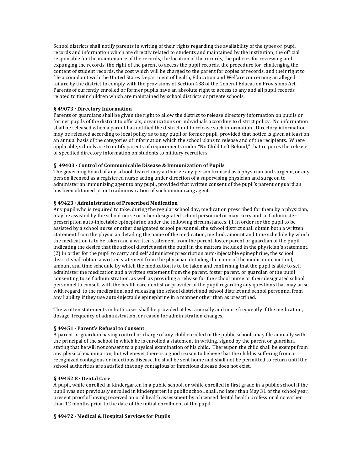School districts shall notify parents in writing of their rights regarding the availability of the types of pupil records and information which are directly related to students and maintained by the institution, the official responsible for the maintenance of the records, the location of the records, the policies for reviewing and expunging the records, the right of the parent to access the pupil records, the procedure for challenging the content of student records, the cost which will be charged to the parent for copies of records, and their right to file a complaint with the United States Department of health, Education and Welfare concerning an alleged failure by the district to comply with the provisions of Section 438 of the General Education Provisions Act. Parents of currently enrolled or former pupils have an absolute right to access to any and all pupil records related to their children which are maintained by school districts or private schools.

## **§ 49073 · Directory Information**

Parents or guardians shall be given the right to allow the district to release directory information on pupils or former pupils of the district to officials, organizations or individuals according to district policy. No information shall be released when a parent has notified the district not to release such information. Directory information may be released according to local policy as to any pupil or former pupil, provided that notice is given at least on an annual basis of the categories of information which the school plans to release and of the recipients. Where applicable, schools are to notify parents of requirements under "No Child Left Behind," that requires the release of specified directory information on students to military recruiters.

#### § 49403 · Control of Communicable Disease & Immunization of Pupils

The governing board of any school district may authorize any person licensed as a physician and surgeon, or any person licensed as a registered nurse acting under direction of a supervising physician and surgeon to administer an immunizing agent to any pupil, provided that written consent of the pupil's parent or guardian has been obtained prior to administration of such immunizing agent.

## § 49423 · Administration of Prescribed Medication

Any pupil who is required to take, during the regular school day, medication prescribed for them by a physician, may be assisted by the school nurse or other designated school personnel or may carry and self administer prescription auto-injectable epinephrine under the following circumstances: (1 In order for the pupil to be assisted by a school nurse or other designated school personnel, the school district shall obtain both a written statement from the physician detailing the name of the medication, method, amount and time schedule by which the medication is to be taken and a written statement from the parent, foster parent or guardian of the pupil indicating the desire that the school district assist the pupil in the matters included in the physician's statement. (2) In order for the pupil to carry and self administer prescription auto-injectable epinephrine, the school district shall obtain a written statement from the physician detailing the name of the medication, method, amount and time schedule by which the medication is to be taken and confirming that the pupil is able to self administer the medication and a written statement from the parent, foster parent, or guardian of the pupil consenting to self administration, as well as providing a release for the school nurse or their designated school personnel to consult with the health care dentist or provider of the pupil regarding any questions that may arise with regard to the medication, and releasing the school district and school district and school personnel from any liability if they use auto-injectable epinephrine in a manner other than as prescribed.

The written statements in both cases shall be provided at lest annually and more frequently if the medication, dosage, frequency of administration, or reason for administration changes.

#### **§ 49451 · Parent's Refusal to Consent**

A parent or guardian having control or charge of any child enrolled in the public schools may file annually with the principal of the school in which he is enrolled a statement in writing, signed by the parent or guardian, stating that he will not consent to a physical examination of his child. Thereupon the child shall be exempt from any physical examination, but whenever there is a good reason to believe that the child is suffering from a recognized contagious or infectious disease, he shall be sent home and shall not be permitted to return until the school authorities are satisfied that any contagious or infectious disease does not exist.

## **§ 49452.8 · Dental Care**

A pupil, while enrolled in kindergarten in a public school, or while enrolled in first grade in a public school if the pupil was not previously enrolled in kindergarten in public school, shall, no later than May 31 of the school year, present proof of having received an oral health assessment by a licensed dental health professional no earlier than 12 months prior to the date of the initial enrollment of the pupil.

#### § 49472 · Medical & Hospital Services for Pupils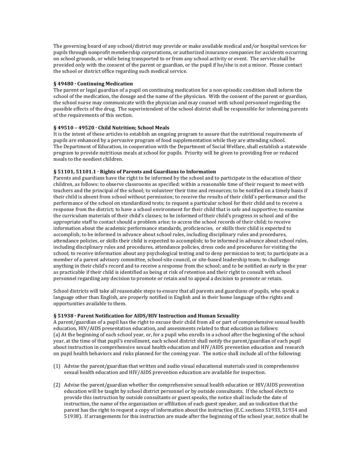The governing board of any school/district may provide or make available medical and/or hospital services for pupils through nonprofit membership corporations, or authorized insurance companies for accidents occurring on school grounds, or while being transported to or from any school activity or event. The service shall be provided only with the consent of the parent or guardian, or the pupil if he/she is not a minor. Please contact the school or district office regarding such medical service.

## **§ 49480 · Continuing Medication**

The parent or legal guardian of a pupil on continuing medication for a non episodic condition shall inform the school of the medication, the dosage and the name of the physician. With the consent of the parent or guardian, the school nurse may communicate with the physician and may counsel with school personnel regarding the possible effects of the drug. The superintendent of the school district shall be responsible for informing parents of the requirements of this section.

## § 49510 - 49520 · Child Nutrition; School Meals

It is the intent of these articles to establish an ongoing program to assure that the nutritional requirements of pupils are enhanced by a pervasive program of food supplementation while they are attending school. The Department of Education, in cooperation with the Department of Social Welfare, shall establish a statewide program to provide nutritious meals at school for pupils. Priority will be given to providing free or reduced meals to the neediest children.

## § 51101, 51101.1 · Rights of Parents and Guardians to Information

Parents and guardians have the right to be informed by the school and to participate in the education of their children, as follows: to observe classrooms as specified: within a reasonable time of their request to meet with teachers and the principal of the school; to volunteer their time and resources; to be notified on a timely basis if their child is absent from school without permission; to receive the results of their child's performance and the performance of the school on standardized tests; to request a particular school for their child and to receive a response from the district; to have a school environment for their child that is safe and supportive; to examine the curriculum materials of their child's classes; to be informed of their child's progress in school and of the appropriate staff to contact should a problem arise; to access the school records of their child; to receive information about the academic performance standards, proficiencies, or skills their child is expected to accomplish; to be informed in advance about school rules, including disciplinary rules and procedures, attendance policies, or skills their child is expected to accomplish; to be informed in advance about school rules, including disciplinary rules and procedures, attendance policies, dress code and procedures for visiting the school; to receive information about any psychological testing and to deny permission to test; to participate as a member of a parent advisory committee, school-site council, or site-based leadership team; to challenge anything in their child's record and to receive a response from the school; and to be notified as early in the year as practicable if their child is identified as being at risk of retention and their right to consult with school personnel regarding any decision to promote or retain and to appeal a decision to promote or retain.

School districts will take all reasonable steps to ensure that all parents and guardians of pupils, who speak a language other than English, are properly notified in English and in their home language of the rights and opportunities available to them.

#### **§ 51938 · Parent Notification for AIDS/HIV Instruction and Human Sexuality**

A parent/guardian of a pupil has the right to excuse their child from all or part of comprehensive sexual health education, HIV/AIDS presentation education, and assessments related to that education as follows: (a) At the beginning of each school year, or, for a pupil who enrolls in a school after the beginning of the school year, at the time of that pupil's enrollment, each school district shall notify the parent/guardian of each pupil about instruction in comprehensive sexual health education and HIV/AIDS prevention education and research on pupil health behaviors and risks planned for the coming year. The notice shall include all of the following:

- (1) Advise the parent/guardian that written and audio visual educational materials used in comprehensive sexual health education and HIV/AIDS prevention education are available for inspection.
- (2) Advise the parent/guardian whether the comprehensive sexual health education or HIV/AIDS prevention education will be taught by school district personnel or by outside consultants. If the school elects to provide this instruction by outside consultants or guest speaks, the notice shall include the date of instruction, the name of the organization or affiliation of each guest speaker, and an indication that the parent has the right to request a copy of information about the instruction (E.C. sections 51933, 51934 and 51938). If arrangements for this instruction are made after the beginning of the school year, notice shall be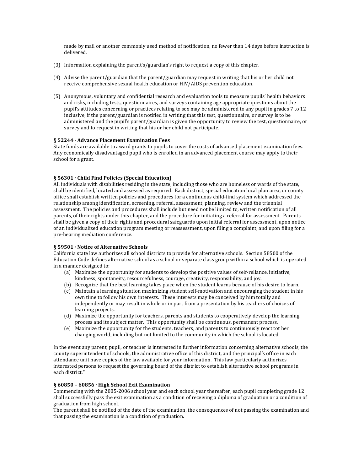made by mail or another commonly used method of notification, no fewer than 14 days before instruction is delivered.

- (3) Information explaining the parent's/guardian's right to request a copy of this chapter.
- (4) Advise the parent/guardian that the parent/guardian may request in writing that his or her child not receive comprehensive sexual health education or HIV/AIDS prevention education.
- (5) Anonymous, voluntary and confidential research and evaluation tools to measure pupils' health behaviors and risks, including tests, questionnaires, and surveys containing age appropriate questions about the pupil's attitudes concerning or practices relating to sex may be administered to any pupil in grades 7 to 12 inclusive, if the parent/guardian is notified in writing that this test, questionnaire, or survey is to be administered and the pupil's parent/guardian is given the opportunity to review the test, questionnaire, or survey and to request in writing that his or her child not participate.

## **§ 52244 · Advance Placement Examination Fees**

State funds are available to award grants to pupils to cover the costs of advanced placement examination fees. Any economically disadvantaged pupil who is enrolled in an advanced placement course may apply to their school for a grant.

#### § 56301 · Child Find Policies (Special Education)

All individuals with disabilities residing in the state, including those who are homeless or wards of the state, shall be identified, located and assessed as required. Each district, special education local plan area, or county office shall establish written policies and procedures for a continuous child-find system which addressed the relationship among identification, screening, referral, assessment, planning, review and the triennial assessment. The policies and procedures shall include but need not be limited to, written notification of all parents, of their rights under this chapter, and the procedure for initiating a referral for assessment. Parents shall be given a copy of their rights and procedural safeguards upon initial referral for assessment, upon notice of an individualized education program meeting or reassessment, upon filing a complaint, and upon filing for a pre-hearing mediation conference.

#### § 59501 · Notice of Alternative Schools

California state law authorizes all school districts to provide for alternative schools. Section 58500 of the Education Code defines alternative school as a school or separate class group within a school which is operated in a manner designed to:

- (a) Maximize the opportunity for students to develop the positive values of self-reliance, initiative, kindness, spontaneity, resourcefulness, courage, creativity, responsibility, and joy.
- (b) Recognize that the best learning takes place when the student learns because of his desire to learn.
- (c) Maintain a learning situation maximizing student self-motivation and encouraging the student in his own time to follow his own interests. These interests may be conceived by him totally and independently or may result in whole or in part from a presentation by his teachers of choices of learning projects.
- (d) Maximize the opportunity for teachers, parents and students to cooperatively develop the learning process and its subject matter. This opportunity shall be continuous, permanent process.
- (e) Maximize the opportunity for the students, teachers, and parents to continuously react tot her changing world, including but not limited to the community in which the school is located.

In the event any parent, pupil, or teacher is interested in further information concerning alternative schools, the county superintendent of schools, the administrative office of this district, and the principal's office in each attendance unit have copies of the law available for your information. This law particularly authorizes interested persons to request the governing board of the district to establish alternative school programs in each district."

## **§ 60850 – 60856 · High School Exit Examination**

Commencing with the 2005-2006 school year and each school year thereafter, each pupil completing grade 12 shall successfully pass the exit examination as a condition of receiving a diploma of graduation or a condition of graduation from high school.

The parent shall be notified of the date of the examination, the consequences of not passing the examination and that passing the examination is a condition of graduation.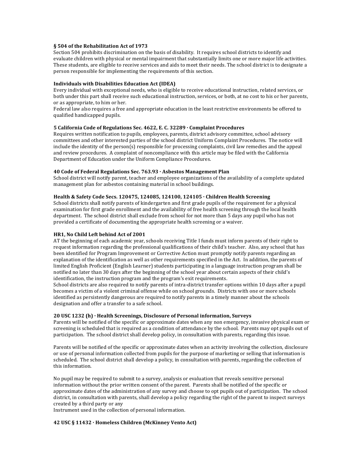#### § 504 of the Rehabilitation Act of 1973

Section 504 prohibits discrimination on the basis of disability. It requires school districts to identify and evaluate children with physical or mental impairment that substantially limits one or more major life activities. These students, are eligible to receive services and aids to meet their needs. The school district is to designate a person responsible for implementing the requirements of this section.

#### **Individuals with Disabilities Education Act (IDEA)**

Every individual with exceptional needs, who is eligible to receive educational instruction, related services, or both under this part shall receive such educational instruction, services, or both, at no cost to his or her parents, or as appropriate, to him or her.

Federal law also requires a free and appropriate education in the least restrictive environments be offered to qualified handicapped pupils.

## 5 California Code of Regulations Sec. 4622, E. C. 32289 · Complaint Procedures

Requires written notification to pupils, employees, parents, district advisory committee, school advisory committees and other interested parties of the school district Uniform Complaint Procedures. The notice will include the identity of the person(s) responsible for processing complaints, civil law remedies and the appeal and review procedures. A complaint of noncompliance with this article may be filed with the California Department of Education under the Uniform Compliance Procedures.

#### **40 Code of Federal Regulations Sec. 763.93 · Asbestos Management Plan**

School district will notify parent, teacher and employee organizations of the availability of a complete updated management plan for asbestos containing material in school buildings.

## Health & Safety Code Secs. 120475, 124085, 124100, 124105 · Children Health Screening

School districts shall notify parents of kindergarten and first grade pupils of the requirement for a physical examination for first grade enrollment and the availability of free health screening through the local health department. The school district shall exclude from school for not more than 5 days any pupil who has not provided a certificate of documenting the appropriate health screening or a waiver.

#### **HR1, No Child Left behind Act of 2001**

AT the beginning of each academic year, schools receiving Title I funds must inform parents of their right to request information regarding the professional qualifications of their child's teacher. Also, any school that has been identified for Program Improvement or Corrective Action must promptly notify parents regarding an explanation of the identification as well as other requirements specified in the Act. In addition, the parents of limited English Proficient (English Learner) students participating in a language instruction program shall be notified no later than 30 days after the beginning of the school year about certain aspects of their child's identification, the instruction program and the program's exit requirements.

School districts are also required to notify parents of intra-district transfer options within 10 days after a pupil becomes a victim of a violent criminal offense while on school grounds. Districts with one or more schools identified as persistently dangerous are required to notify parents in a timely manner about the schools designation and offer a transfer to a safe school.

#### **20 USC 1232 (h) · Health Screenings, Disclosure of Personal information, Surveys**

Parents will be notified of the specific or approximate dates when any non emergency, invasive physical exam or screening is scheduled that is required as a condition of attendance by the school. Parents may opt pupils out of participation. The school district shall develop policy, in consultation with parents, regarding this issue.

Parents will be notified of the specific or approximate dates when an activity involving the collection, disclosure or use of personal information collected from pupils for the purpose of marketing or selling that information is scheduled. The school district shall develop a policy, in consultation with parents, regarding the collection of this information.

No pupil may be required to submit to a survey, analysis or evaluation that reveals sensitive personal information without the prior written consent of the parent. Parents shall be notified of the specific or approximate dates of the administration of any survey and choose to opt pupils out of participation. The school district, in consultation with parents, shall develop a policy regarding the right of the parent to inspect surveys created by a third party or any 

Instrument used in the collection of personal information.

#### 42 USC § 11432 · Homeless Children (McKinney Vento Act)